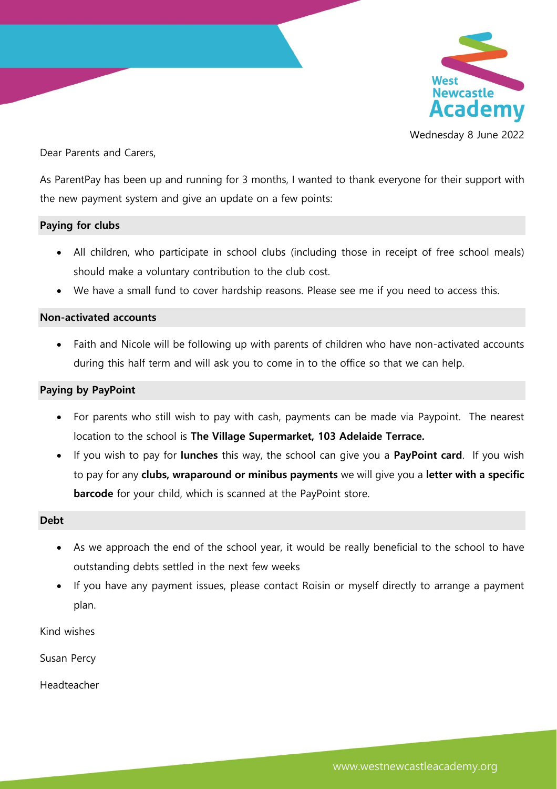

Wednesday 8 June 2022

Dear Parents and Carers,

As ParentPay has been up and running for 3 months, I wanted to thank everyone for their support with the new payment system and give an update on a few points:

## **Paying for clubs**

- All children, who participate in school clubs (including those in receipt of free school meals) should make a voluntary contribution to the club cost.
- We have a small fund to cover hardship reasons. Please see me if you need to access this.

## **Non-activated accounts**

 Faith and Nicole will be following up with parents of children who have non-activated accounts during this half term and will ask you to come in to the office so that we can help.

## **Paying by PayPoint**

- For parents who still wish to pay with cash, payments can be made via Paypoint. The nearest location to the school is **The Village Supermarket, 103 Adelaide Terrace.**
- If you wish to pay for **lunches** this way, the school can give you a **PayPoint card**. If you wish to pay for any **clubs, wraparound or minibus payments** we will give you a **letter with a specific barcode** for your child, which is scanned at the PayPoint store.

## **Debt**

- As we approach the end of the school year, it would be really beneficial to the school to have outstanding debts settled in the next few weeks
- If you have any payment issues, please contact Roisin or myself directly to arrange a payment plan.

Kind wishes

Susan Percy

Headteacher